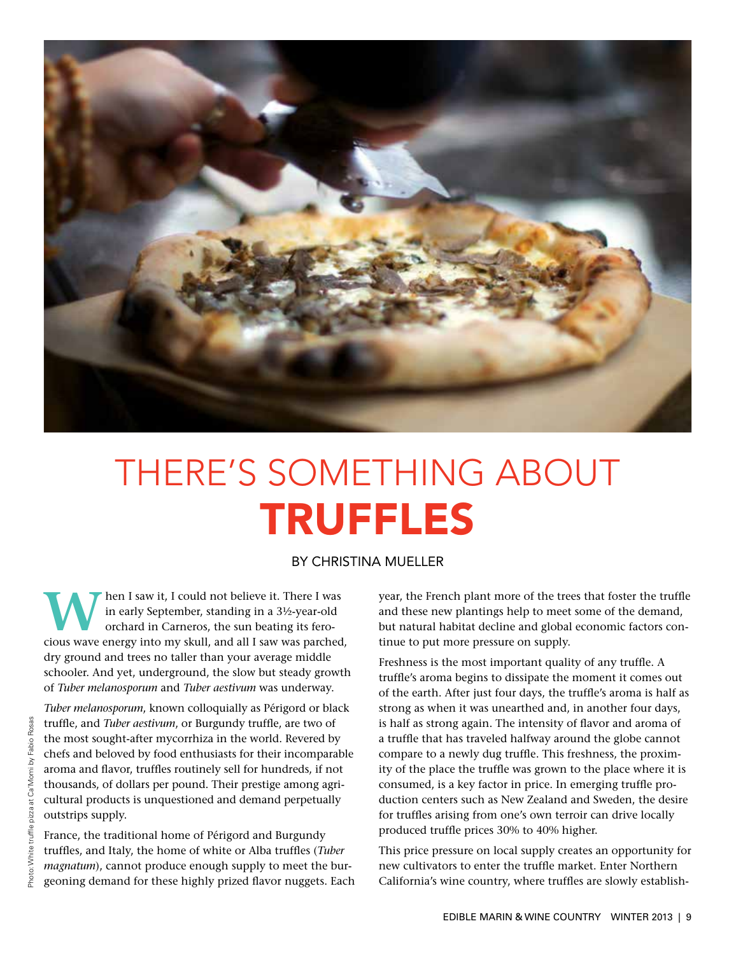

# THERE'S SOMETHING ABOUT TRUFFLES

## BY CHRISTINA MUELLER

**W** hen I saw it, I could not believe it. There I was<br>in early September, standing in a 3½-year-old<br>orchard in Carneros, the sun beating its fero-<br>cious wave onergy into my skull, and all Leaw was parched in early September, standing in a 3½-year-old orchard in Carneros, the sun beating its ferocious wave energy into my skull, and all I saw was parched, dry ground and trees no taller than your average middle schooler. And yet, underground, the slow but steady growth of *Tuber melanosporum* and *Tuber aestivum* was underway.

*Tuber melanosporum*, known colloquially as Périgord or black truffle, and *Tuber aestivum*, or Burgundy truffle, are two of the most sought-after mycorrhiza in the world. Revered by chefs and beloved by food enthusiasts for their incomparable aroma and flavor, truffles routinely sell for hundreds, if not thousands, of dollars per pound. Their prestige among agricultural products is unquestioned and demand perpetually outstrips supply.

France, the traditional home of Périgord and Burgundy truffles, and Italy, the home of white or Alba truffles (*Tuber magnatum*), cannot produce enough supply to meet the burgeoning demand for these highly prized flavor nuggets. Each year, the French plant more of the trees that foster the truffle and these new plantings help to meet some of the demand, but natural habitat decline and global economic factors continue to put more pressure on supply.

Freshness is the most important quality of any truffle. A truffle's aroma begins to dissipate the moment it comes out of the earth. After just four days, the truffle's aroma is half as strong as when it was unearthed and, in another four days, is half as strong again. The intensity of flavor and aroma of a truffle that has traveled halfway around the globe cannot compare to a newly dug truffle. This freshness, the proximity of the place the truffle was grown to the place where it is consumed, is a key factor in price. In emerging truffle production centers such as New Zealand and Sweden, the desire for truffles arising from one's own terroir can drive locally produced truffle prices 30% to 40% higher.

This price pressure on local supply creates an opportunity for new cultivators to enter the truffle market. Enter Northern California's wine country, where truffles are slowly establish-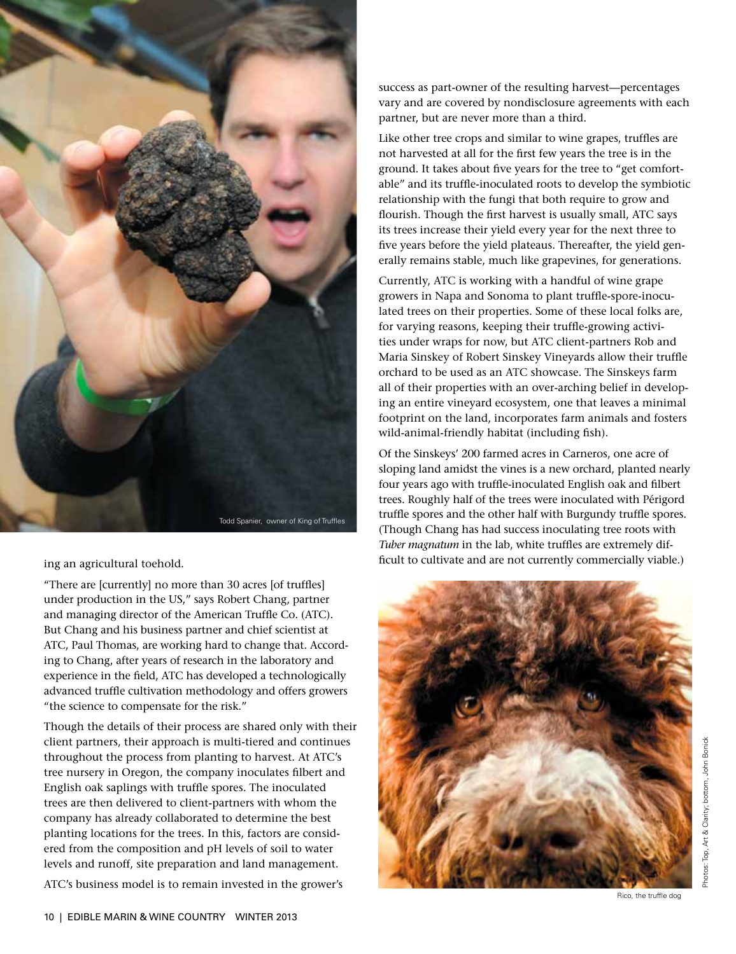

ing an agricultural toehold.

"There are [currently] no more than 30 acres [of truffles] under production in the US," says Robert Chang, partner and managing director of the American Truffle Co. (ATC). But Chang and his business partner and chief scientist at ATC, Paul Thomas, are working hard to change that. According to Chang, after years of research in the laboratory and experience in the field, ATC has developed a technologically advanced truffle cultivation methodology and offers growers "the science to compensate for the risk."

Though the details of their process are shared only with their client partners, their approach is multi-tiered and continues throughout the process from planting to harvest. At ATC's tree nursery in Oregon, the company inoculates filbert and English oak saplings with truffle spores. The inoculated trees are then delivered to client-partners with whom the company has already collaborated to determine the best planting locations for the trees. In this, factors are considered from the composition and pH levels of soil to water levels and runoff, site preparation and land management.

ATC's business model is to remain invested in the grower's

success as part-owner of the resulting harvest—percentages vary and are covered by nondisclosure agreements with each partner, but are never more than a third.

Like other tree crops and similar to wine grapes, truffles are not harvested at all for the first few years the tree is in the ground. It takes about five years for the tree to "get comfortable" and its truffle-inoculated roots to develop the symbiotic relationship with the fungi that both require to grow and flourish. Though the first harvest is usually small, ATC says its trees increase their yield every year for the next three to five years before the yield plateaus. Thereafter, the yield generally remains stable, much like grapevines, for generations.

Currently, ATC is working with a handful of wine grape growers in Napa and Sonoma to plant truffle-spore-inoculated trees on their properties. Some of these local folks are, for varying reasons, keeping their truffle-growing activities under wraps for now, but ATC client-partners Rob and Maria Sinskey of Robert Sinskey Vineyards allow their truffle orchard to be used as an ATC showcase. The Sinskeys farm all of their properties with an over-arching belief in developing an entire vineyard ecosystem, one that leaves a minimal footprint on the land, incorporates farm animals and fosters wild-animal-friendly habitat (including fish).

Of the Sinskeys' 200 farmed acres in Carneros, one acre of sloping land amidst the vines is a new orchard, planted nearly four years ago with truffle-inoculated English oak and filbert trees. Roughly half of the trees were inoculated with Périgord truffle spores and the other half with Burgundy truffle spores. (Though Chang has had success inoculating tree roots with *Tuber magnatum* in the lab, white truffles are extremely difficult to cultivate and are not currently commercially viable.)



Rico, the truffle dog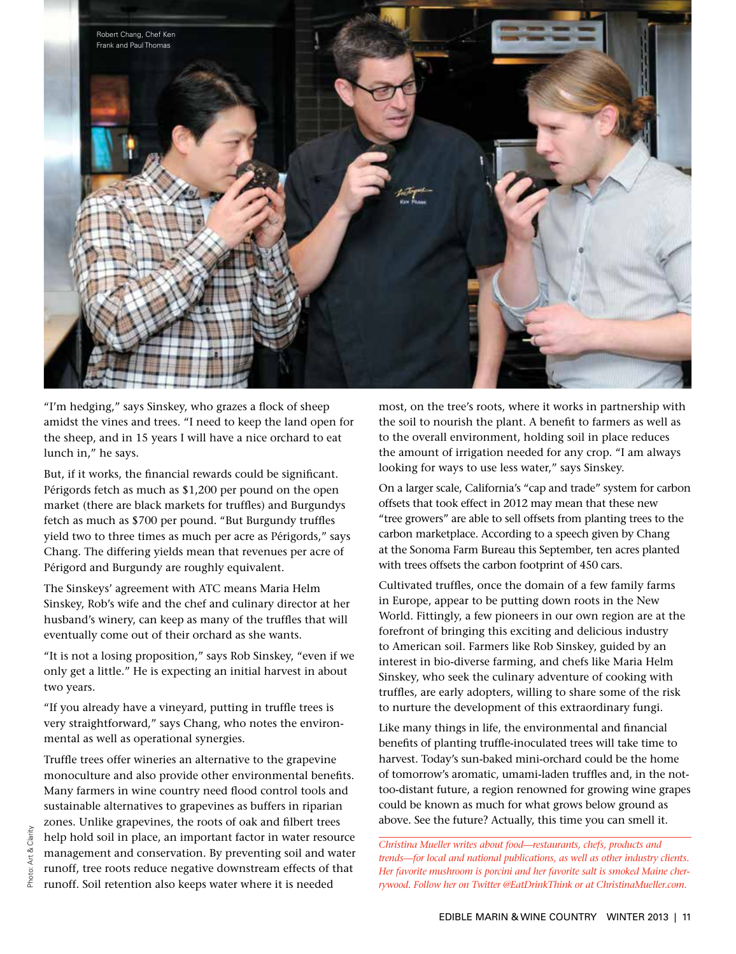

"I'm hedging," says Sinskey, who grazes a flock of sheep amidst the vines and trees. "I need to keep the land open for the sheep, and in 15 years I will have a nice orchard to eat lunch in," he says.

But, if it works, the financial rewards could be significant. Périgords fetch as much as \$1,200 per pound on the open market (there are black markets for truffles) and Burgundys fetch as much as \$700 per pound. "But Burgundy truffles yield two to three times as much per acre as Périgords," says Chang. The differing yields mean that revenues per acre of Périgord and Burgundy are roughly equivalent.

The Sinskeys' agreement with ATC means Maria Helm Sinskey, Rob's wife and the chef and culinary director at her husband's winery, can keep as many of the truffles that will eventually come out of their orchard as she wants.

"It is not a losing proposition," says Rob Sinskey, "even if we only get a little." He is expecting an initial harvest in about two years.

"If you already have a vineyard, putting in truffle trees is very straightforward," says Chang, who notes the environmental as well as operational synergies.

Truffle trees offer wineries an alternative to the grapevine monoculture and also provide other environmental benefits. Many farmers in wine country need flood control tools and sustainable alternatives to grapevines as buffers in riparian zones. Unlike grapevines, the roots of oak and filbert trees help hold soil in place, an important factor in water resource management and conservation. By preventing soil and water runoff, tree roots reduce negative downstream effects of that runoff. Soil retention also keeps water where it is needed

most, on the tree's roots, where it works in partnership with the soil to nourish the plant. A benefit to farmers as well as to the overall environment, holding soil in place reduces the amount of irrigation needed for any crop. "I am always looking for ways to use less water," says Sinskey.

On a larger scale, California's "cap and trade" system for carbon offsets that took effect in 2012 may mean that these new "tree growers" are able to sell offsets from planting trees to the carbon marketplace. According to a speech given by Chang at the Sonoma Farm Bureau this September, ten acres planted with trees offsets the carbon footprint of 450 cars.

Cultivated truffles, once the domain of a few family farms in Europe, appear to be putting down roots in the New World. Fittingly, a few pioneers in our own region are at the forefront of bringing this exciting and delicious industry to American soil. Farmers like Rob Sinskey, guided by an interest in bio-diverse farming, and chefs like Maria Helm Sinskey, who seek the culinary adventure of cooking with truffles, are early adopters, willing to share some of the risk to nurture the development of this extraordinary fungi.

Like many things in life, the environmental and financial benefits of planting truffle-inoculated trees will take time to harvest. Today's sun-baked mini-orchard could be the home of tomorrow's aromatic, umami-laden truffles and, in the nottoo-distant future, a region renowned for growing wine grapes could be known as much for what grows below ground as above. See the future? Actually, this time you can smell it.

*Christina Mueller writes about food—restaurants, chefs, products and trends—for local and national publications, as well as other industry clients. Her favorite mushroom is porcini and her favorite salt is smoked Maine cherrywood. Follow her on Twitter @EatDrinkThink or at ChristinaMueller.com.*